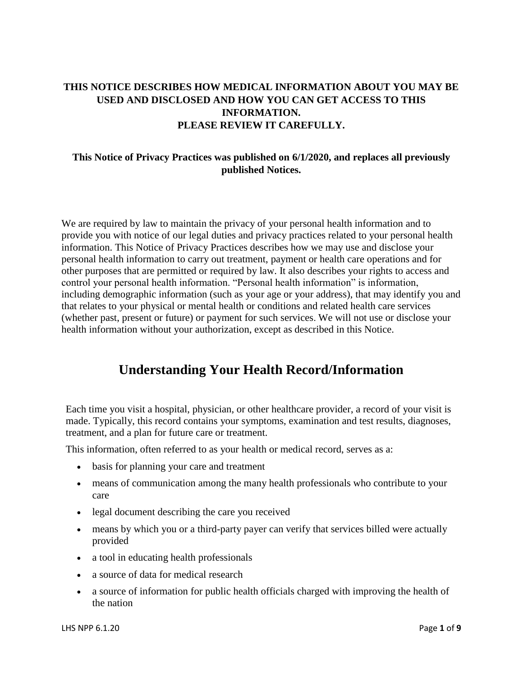## **THIS NOTICE DESCRIBES HOW MEDICAL INFORMATION ABOUT YOU MAY BE USED AND DISCLOSED AND HOW YOU CAN GET ACCESS TO THIS INFORMATION. PLEASE REVIEW IT CAREFULLY.**

### **This Notice of Privacy Practices was published on 6/1/2020, and replaces all previously published Notices.**

We are required by law to maintain the privacy of your personal health information and to provide you with notice of our legal duties and privacy practices related to your personal health information. This Notice of Privacy Practices describes how we may use and disclose your personal health information to carry out treatment, payment or health care operations and for other purposes that are permitted or required by law. It also describes your rights to access and control your personal health information. "Personal health information" is information, including demographic information (such as your age or your address), that may identify you and that relates to your physical or mental health or conditions and related health care services (whether past, present or future) or payment for such services. We will not use or disclose your health information without your authorization, except as described in this Notice.

# **Understanding Your Health Record/Information**

Each time you visit a hospital, physician, or other healthcare provider, a record of your visit is made. Typically, this record contains your symptoms, examination and test results, diagnoses, treatment, and a plan for future care or treatment.

This information, often referred to as your health or medical record, serves as a:

- basis for planning your care and treatment
- means of communication among the many health professionals who contribute to your care
- legal document describing the care you received
- means by which you or a third-party payer can verify that services billed were actually provided
- a tool in educating health professionals
- a source of data for medical research
- a source of information for public health officials charged with improving the health of the nation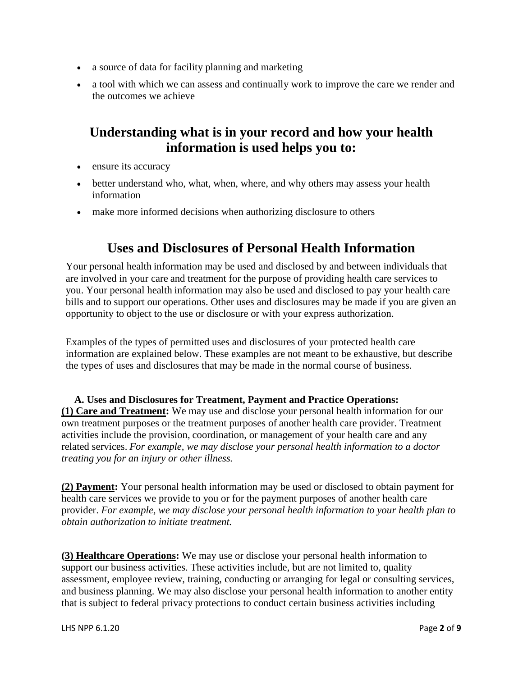- a source of data for facility planning and marketing
- a tool with which we can assess and continually work to improve the care we render and the outcomes we achieve

## **Understanding what is in your record and how your health information is used helps you to:**

- ensure its accuracy
- better understand who, what, when, where, and why others may assess your health information
- make more informed decisions when authorizing disclosure to others

## **Uses and Disclosures of Personal Health Information**

Your personal health information may be used and disclosed by and between individuals that are involved in your care and treatment for the purpose of providing health care services to you. Your personal health information may also be used and disclosed to pay your health care bills and to support our operations. Other uses and disclosures may be made if you are given an opportunity to object to the use or disclosure or with your express authorization.

Examples of the types of permitted uses and disclosures of your protected health care information are explained below. These examples are not meant to be exhaustive, but describe the types of uses and disclosures that may be made in the normal course of business.

 **A. Uses and Disclosures for Treatment, Payment and Practice Operations: (1) Care and Treatment:** We may use and disclose your personal health information for our own treatment purposes or the treatment purposes of another health care provider. Treatment activities include the provision, coordination, or management of your health care and any related services. *For example, we may disclose your personal health information to a doctor treating you for an injury or other illness.* 

**(2) Payment:** Your personal health information may be used or disclosed to obtain payment for health care services we provide to you or for the payment purposes of another health care provider. *For example, we may disclose your personal health information to your health plan to obtain authorization to initiate treatment.*

**(3) Healthcare Operations:** We may use or disclose your personal health information to support our business activities. These activities include, but are not limited to, quality assessment, employee review, training, conducting or arranging for legal or consulting services, and business planning. We may also disclose your personal health information to another entity that is subject to federal privacy protections to conduct certain business activities including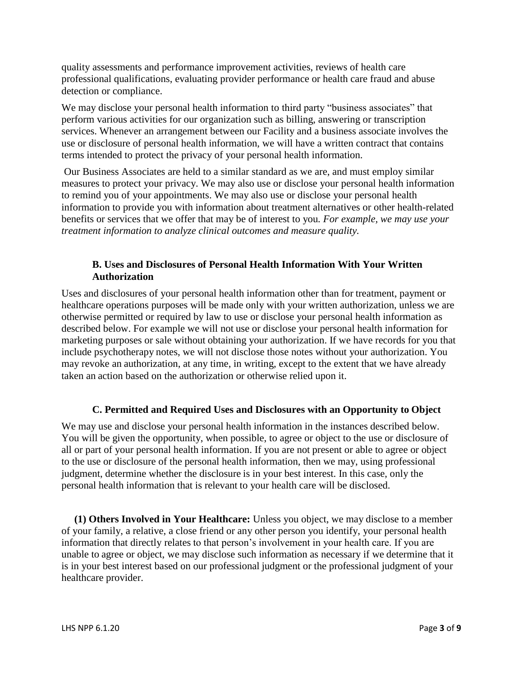quality assessments and performance improvement activities, reviews of health care professional qualifications, evaluating provider performance or health care fraud and abuse detection or compliance.

We may disclose your personal health information to third party "business associates" that perform various activities for our organization such as billing, answering or transcription services. Whenever an arrangement between our Facility and a business associate involves the use or disclosure of personal health information, we will have a written contract that contains terms intended to protect the privacy of your personal health information.

Our Business Associates are held to a similar standard as we are, and must employ similar measures to protect your privacy. We may also use or disclose your personal health information to remind you of your appointments. We may also use or disclose your personal health information to provide you with information about treatment alternatives or other health-related benefits or services that we offer that may be of interest to you*. For example, we may use your treatment information to analyze clinical outcomes and measure quality.* 

#### **B. Uses and Disclosures of Personal Health Information With Your Written Authorization**

Uses and disclosures of your personal health information other than for treatment, payment or healthcare operations purposes will be made only with your written authorization, unless we are otherwise permitted or required by law to use or disclose your personal health information as described below. For example we will not use or disclose your personal health information for marketing purposes or sale without obtaining your authorization. If we have records for you that include psychotherapy notes, we will not disclose those notes without your authorization. You may revoke an authorization, at any time, in writing, except to the extent that we have already taken an action based on the authorization or otherwise relied upon it.

### **C. Permitted and Required Uses and Disclosures with an Opportunity to Object**

We may use and disclose your personal health information in the instances described below. You will be given the opportunity, when possible, to agree or object to the use or disclosure of all or part of your personal health information. If you are not present or able to agree or object to the use or disclosure of the personal health information, then we may, using professional judgment, determine whether the disclosure is in your best interest. In this case, only the personal health information that is relevant to your health care will be disclosed.

 **(1) Others Involved in Your Healthcare:** Unless you object, we may disclose to a member of your family, a relative, a close friend or any other person you identify, your personal health information that directly relates to that person's involvement in your health care. If you are unable to agree or object, we may disclose such information as necessary if we determine that it is in your best interest based on our professional judgment or the professional judgment of your healthcare provider.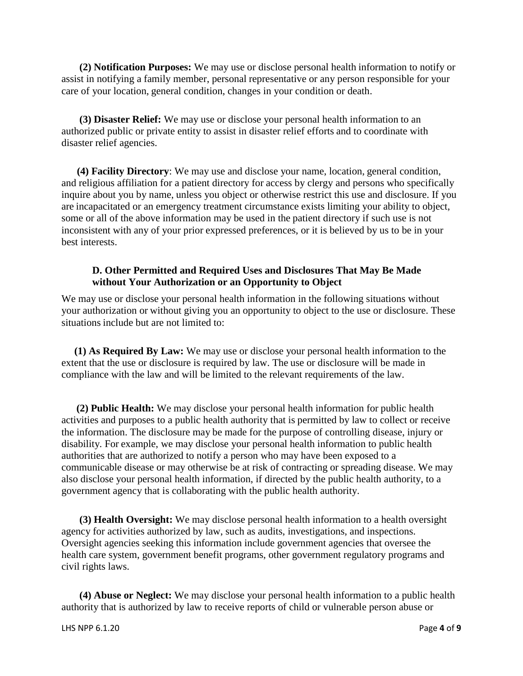**(2) Notification Purposes:** We may use or disclose personal health information to notify or assist in notifying a family member, personal representative or any person responsible for your care of your location, general condition, changes in your condition or death.

 **(3) Disaster Relief:** We may use or disclose your personal health information to an authorized public or private entity to assist in disaster relief efforts and to coordinate with disaster relief agencies.

 **(4) Facility Directory**: We may use and disclose your name, location, general condition, and religious affiliation for a patient directory for access by clergy and persons who specifically inquire about you by name, unless you object or otherwise restrict this use and disclosure. If you are incapacitated or an emergency treatment circumstance exists limiting your ability to object, some or all of the above information may be used in the patient directory if such use is not inconsistent with any of your prior expressed preferences, or it is believed by us to be in your best interests.

#### **D. Other Permitted and Required Uses and Disclosures That May Be Made without Your Authorization or an Opportunity to Object**

We may use or disclose your personal health information in the following situations without your authorization or without giving you an opportunity to object to the use or disclosure. These situations include but are not limited to:

 **(1) As Required By Law:** We may use or disclose your personal health information to the extent that the use or disclosure is required by law. The use or disclosure will be made in compliance with the law and will be limited to the relevant requirements of the law.

 **(2) Public Health:** We may disclose your personal health information for public health activities and purposes to a public health authority that is permitted by law to collect or receive the information. The disclosure may be made for the purpose of controlling disease, injury or disability. For example, we may disclose your personal health information to public health authorities that are authorized to notify a person who may have been exposed to a communicable disease or may otherwise be at risk of contracting or spreading disease. We may also disclose your personal health information, if directed by the public health authority, to a government agency that is collaborating with the public health authority.

 **(3) Health Oversight:** We may disclose personal health information to a health oversight agency for activities authorized by law, such as audits, investigations, and inspections. Oversight agencies seeking this information include government agencies that oversee the health care system, government benefit programs, other government regulatory programs and civil rights laws.

 **(4) Abuse or Neglect:** We may disclose your personal health information to a public health authority that is authorized by law to receive reports of child or vulnerable person abuse or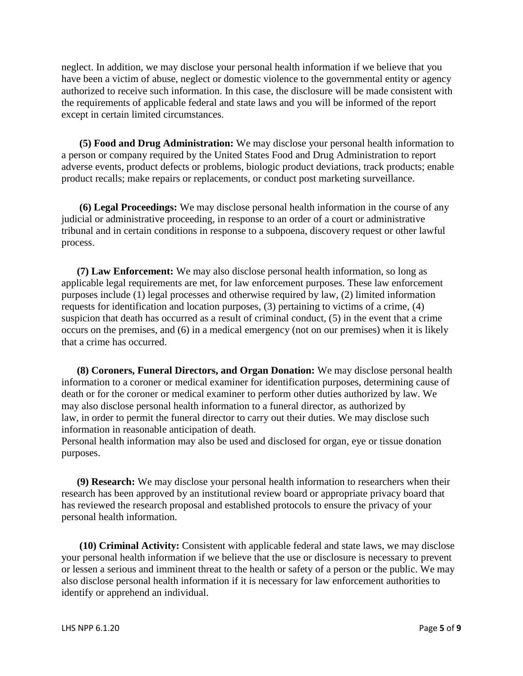neglect. In addition, we may disclose your personal health information if we believe that you have been a victim of abuse, neglect or domestic violence to the governmental entity or agency authorized to receive such information. In this case, the disclosure will be made consistent with the requirements of applicable federal and state laws and you will be informed of the report except in certain limited circumstances.

 **(5) Food and Drug Administration:** We may disclose your personal health information to a person or company required by the United States Food and Drug Administration to report adverse events, product defects or problems, biologic product deviations, track products; enable product recalls; make repairs or replacements, or conduct post marketing surveillance.

 **(6) Legal Proceedings:** We may disclose personal health information in the course of any judicial or administrative proceeding, in response to an order of a court or administrative tribunal and in certain conditions in response to a subpoena, discovery request or other lawful process.

 **(7) Law Enforcement:** We may also disclose personal health information, so long as applicable legal requirements are met, for law enforcement purposes. These law enforcement purposes include (1) legal processes and otherwise required by law, (2) limited information requests for identification and location purposes, (3) pertaining to victims of a crime, (4) suspicion that death has occurred as a result of criminal conduct, (5) in the event that a crime occurs on the premises, and (6) in a medical emergency (not on our premises) when it is likely that a crime has occurred.

 **(8) Coroners, Funeral Directors, and Organ Donation:** We may disclose personal health information to a coroner or medical examiner for identification purposes, determining cause of death or for the coroner or medical examiner to perform other duties authorized by law. We may also disclose personal health information to a funeral director, as authorized by law, in order to permit the funeral director to carry out their duties. We may disclose such information in reasonable anticipation of death.

Personal health information may also be used and disclosed for organ, eye or tissue donation purposes.

 **(9) Research:** We may disclose your personal health information to researchers when their research has been approved by an institutional review board or appropriate privacy board that has reviewed the research proposal and established protocols to ensure the privacy of your personal health information.

 **(10) Criminal Activity:** Consistent with applicable federal and state laws, we may disclose your personal health information if we believe that the use or disclosure is necessary to prevent or lessen a serious and imminent threat to the health or safety of a person or the public. We may also disclose personal health information if it is necessary for law enforcement authorities to identify or apprehend an individual.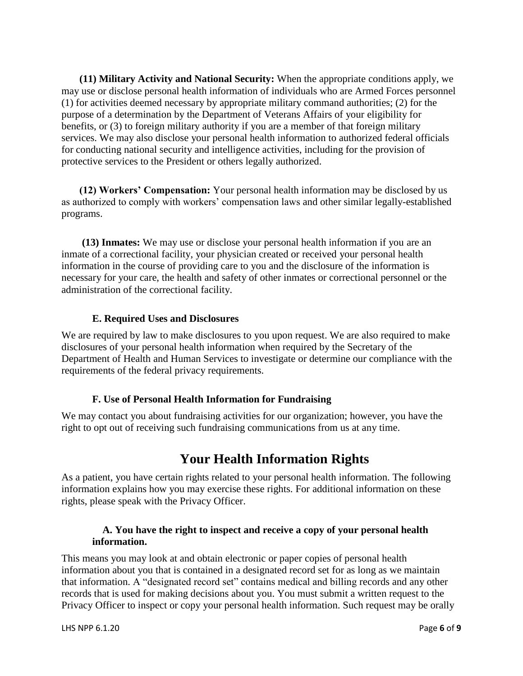**(11) Military Activity and National Security:** When the appropriate conditions apply, we may use or disclose personal health information of individuals who are Armed Forces personnel (1) for activities deemed necessary by appropriate military command authorities; (2) for the purpose of a determination by the Department of Veterans Affairs of your eligibility for benefits, or (3) to foreign military authority if you are a member of that foreign military services. We may also disclose your personal health information to authorized federal officials for conducting national security and intelligence activities, including for the provision of protective services to the President or others legally authorized.

 **(12) Workers' Compensation:** Your personal health information may be disclosed by us as authorized to comply with workers' compensation laws and other similar legally-established programs.

 **(13) Inmates:** We may use or disclose your personal health information if you are an inmate of a correctional facility, your physician created or received your personal health information in the course of providing care to you and the disclosure of the information is necessary for your care, the health and safety of other inmates or correctional personnel or the administration of the correctional facility.

#### **E. Required Uses and Disclosures**

We are required by law to make disclosures to you upon request. We are also required to make disclosures of your personal health information when required by the Secretary of the Department of Health and Human Services to investigate or determine our compliance with the requirements of the federal privacy requirements.

### **F. Use of Personal Health Information for Fundraising**

We may contact you about fundraising activities for our organization; however, you have the right to opt out of receiving such fundraising communications from us at any time.

# **Your Health Information Rights**

As a patient, you have certain rights related to your personal health information. The following information explains how you may exercise these rights. For additional information on these rights, please speak with the Privacy Officer.

#### **A. You have the right to inspect and receive a copy of your personal health information.**

This means you may look at and obtain electronic or paper copies of personal health information about you that is contained in a designated record set for as long as we maintain that information. A "designated record set" contains medical and billing records and any other records that is used for making decisions about you. You must submit a written request to the Privacy Officer to inspect or copy your personal health information. Such request may be orally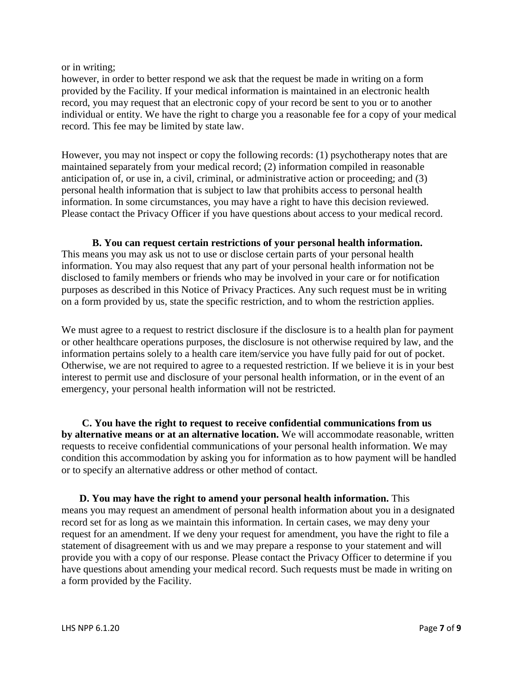or in writing;

however, in order to better respond we ask that the request be made in writing on a form provided by the Facility. If your medical information is maintained in an electronic health record, you may request that an electronic copy of your record be sent to you or to another individual or entity. We have the right to charge you a reasonable fee for a copy of your medical record. This fee may be limited by state law.

However, you may not inspect or copy the following records: (1) psychotherapy notes that are maintained separately from your medical record; (2) information compiled in reasonable anticipation of, or use in, a civil, criminal, or administrative action or proceeding; and (3) personal health information that is subject to law that prohibits access to personal health information. In some circumstances, you may have a right to have this decision reviewed. Please contact the Privacy Officer if you have questions about access to your medical record.

 **B. You can request certain restrictions of your personal health information.** This means you may ask us not to use or disclose certain parts of your personal health information. You may also request that any part of your personal health information not be disclosed to family members or friends who may be involved in your care or for notification purposes as described in this Notice of Privacy Practices. Any such request must be in writing on a form provided by us, state the specific restriction, and to whom the restriction applies.

We must agree to a request to restrict disclosure if the disclosure is to a health plan for payment or other healthcare operations purposes, the disclosure is not otherwise required by law, and the information pertains solely to a health care item/service you have fully paid for out of pocket. Otherwise, we are not required to agree to a requested restriction. If we believe it is in your best interest to permit use and disclosure of your personal health information, or in the event of an emergency, your personal health information will not be restricted.

 **C. You have the right to request to receive confidential communications from us by alternative means or at an alternative location.** We will accommodate reasonable, written requests to receive confidential communications of your personal health information. We may condition this accommodation by asking you for information as to how payment will be handled or to specify an alternative address or other method of contact.

 **D. You may have the right to amend your personal health information.** This means you may request an amendment of personal health information about you in a designated record set for as long as we maintain this information. In certain cases, we may deny your request for an amendment. If we deny your request for amendment, you have the right to file a statement of disagreement with us and we may prepare a response to your statement and will provide you with a copy of our response. Please contact the Privacy Officer to determine if you have questions about amending your medical record. Such requests must be made in writing on a form provided by the Facility.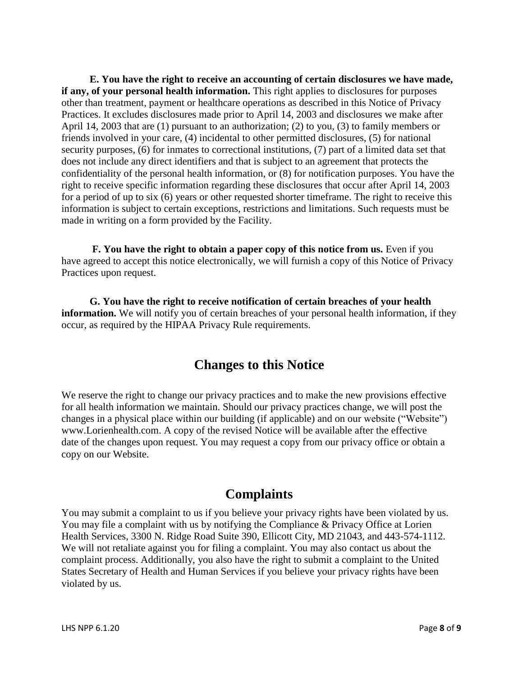**E. You have the right to receive an accounting of certain disclosures we have made, if any, of your personal health information.** This right applies to disclosures for purposes other than treatment, payment or healthcare operations as described in this Notice of Privacy Practices. It excludes disclosures made prior to April 14, 2003 and disclosures we make after April 14, 2003 that are (1) pursuant to an authorization; (2) to you, (3) to family members or friends involved in your care, (4) incidental to other permitted disclosures, (5) for national security purposes, (6) for inmates to correctional institutions, (7) part of a limited data set that does not include any direct identifiers and that is subject to an agreement that protects the confidentiality of the personal health information, or (8) for notification purposes. You have the right to receive specific information regarding these disclosures that occur after April 14, 2003 for a period of up to six (6) years or other requested shorter timeframe. The right to receive this information is subject to certain exceptions, restrictions and limitations. Such requests must be made in writing on a form provided by the Facility.

**F. You have the right to obtain a paper copy of this notice from us.** Even if you have agreed to accept this notice electronically, we will furnish a copy of this Notice of Privacy Practices upon request.

 **G. You have the right to receive notification of certain breaches of your health information.** We will notify you of certain breaches of your personal health information, if they occur, as required by the HIPAA Privacy Rule requirements.

## **Changes to this Notice**

We reserve the right to change our privacy practices and to make the new provisions effective for all health information we maintain. Should our privacy practices change, we will post the changes in a physical place within our building (if applicable) and on our website ("Website") www.Lorienhealth.com. A copy of the revised Notice will be available after the effective date of the changes upon request. You may request a copy from our privacy office or obtain a copy on our Website.

# **Complaints**

You may submit a complaint to us if you believe your privacy rights have been violated by us. You may file a complaint with us by notifying the Compliance & Privacy Office at Lorien Health Services, 3300 N. Ridge Road Suite 390, Ellicott City, MD 21043, and 443-574-1112. We will not retaliate against you for filing a complaint. You may also contact us about the complaint process. Additionally, you also have the right to submit a complaint to the United States Secretary of Health and Human Services if you believe your privacy rights have been violated by us.